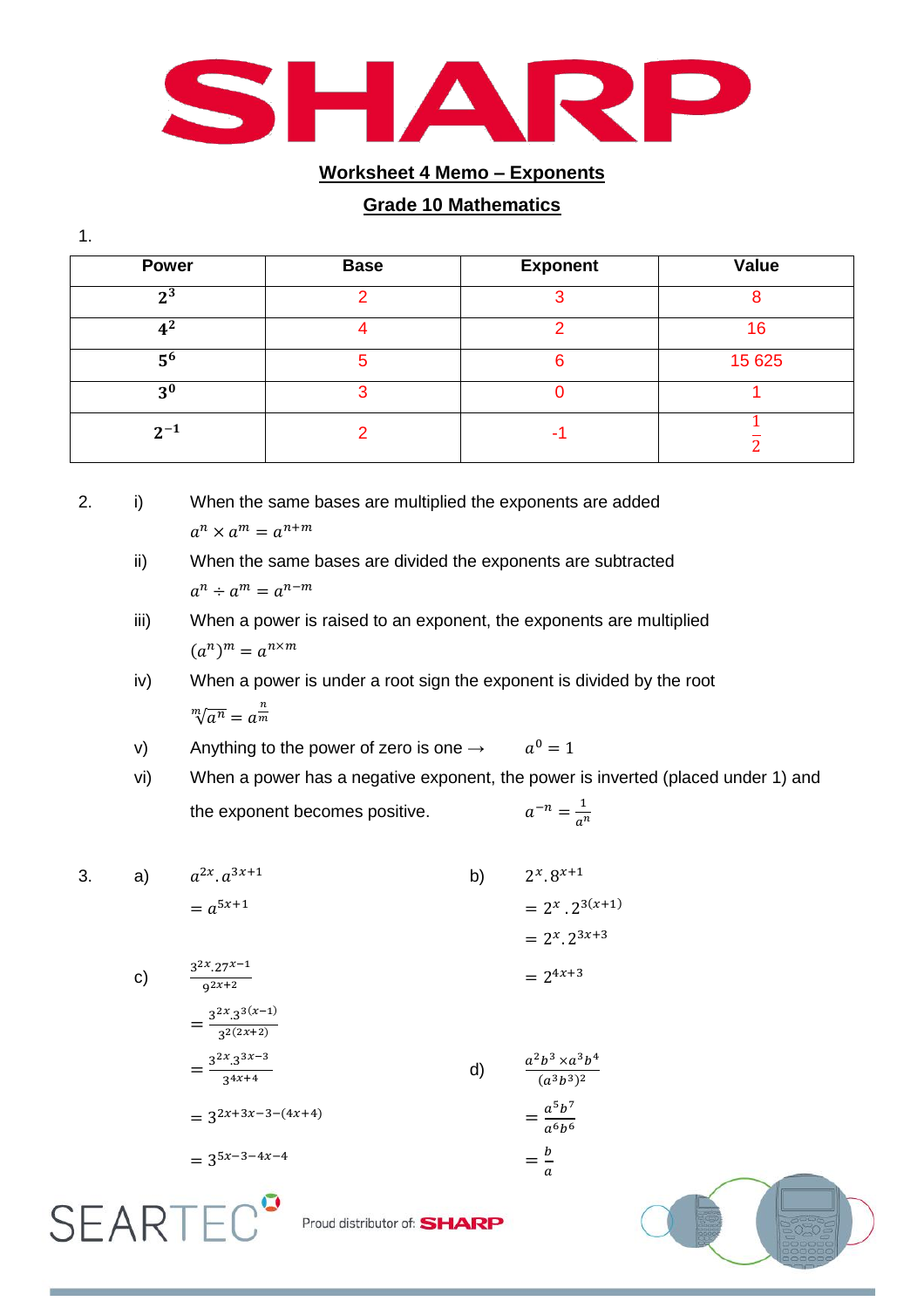

## **Worksheet 4 Memo – Exponents**

## **Grade 10 Mathematics**

| ٠<br>×. |  |
|---------|--|
|         |  |

| <b>Power</b>   | <b>Base</b> | <b>Exponent</b> | Value   |
|----------------|-------------|-----------------|---------|
| 2 <sup>3</sup> |             |                 |         |
| $4^2$          |             |                 | 16      |
| 5 <sup>6</sup> |             |                 | 15 6 25 |
| 3 <sup>0</sup> |             |                 |         |
| $2^{-1}$       |             | ۰               |         |

2. i) When the same bases are multiplied the exponents are added  

$$
a^n \times a^m = a^{n+m}
$$

ii) When the same bases are divided the exponents are subtracted  $a^n \div a^m = a^n$ 

- iii) When a power is raised to an exponent, the exponents are multiplied  $(a^n)^m = a^n$
- iv) When a power is under a root sign the exponent is divided by the root  $\sqrt[m]{a^n} = a^{\frac{n}{m}}$ m

v) Anything to the power of zero is one  $\rightarrow$  $a^0=1$ 

vi) When a power has a negative exponent, the power is inverted (placed under 1) and the exponent becomes positive.  $-n = \frac{1}{2}$  $\alpha$ 

3. a) 
$$
a^{2x}.a^{3x+1}
$$
  
\t=  $a^{5x+1}$   
\t=  $a^{5x+1}$   
\t=  $2^x . 2^{3(x+1)}$   
\t=  $2^x . 2^{3(x+1)}$   
\t=  $2^{2x}. 2^{3x+3}$   
\t=  $2^{4x+3}$   
\t=  $\frac{3^{2x}.3^{3(x-1)}}{3^{2(2x+2)}}$   
\t=  $\frac{3^{2x}.3^{3x-3}}{3^{4x+4}}$   
\t=  $3^{2x+3x-3-(4x+4)}$   
\t=  $3^{5x-3-4x-4}$   
\t=  $\frac{a}{a}$   
\n**S**

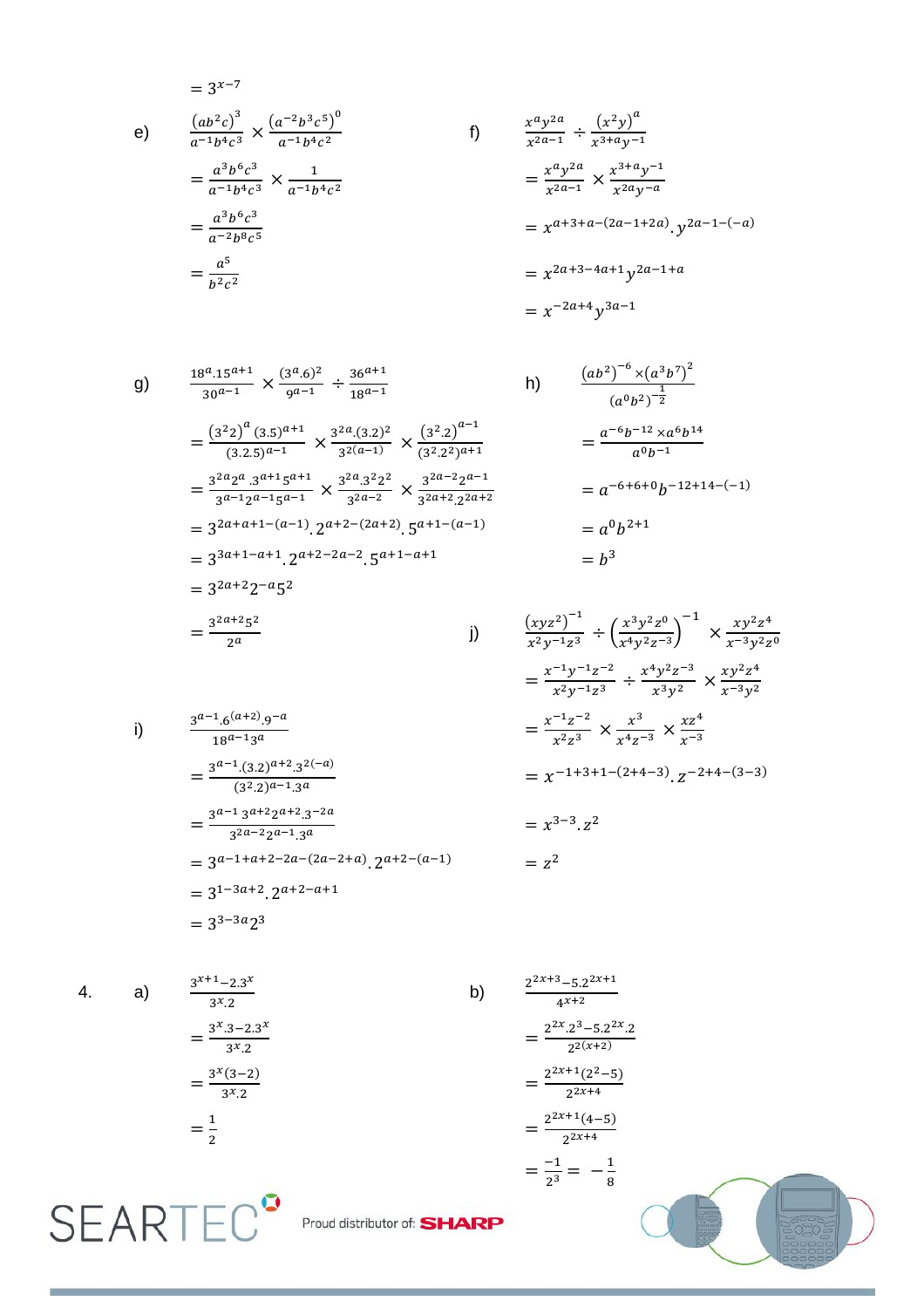## SEARTEC<sup>o</sup> Proud distributor of: SHARP

$$
\frac{1}{\left(\frac{1}{\frac{1}{\sqrt{2}}}\right)^{2}}\left(\frac{1}{\sqrt{2}}\right)^{2}}
$$

$$
\frac{3^{x+1}-2.3^x}{3^x \cdot 2}
$$
\n
$$
= \frac{3^x \cdot 3 - 2.3^x}{3^x \cdot 2}
$$
\n
$$
= \frac{3^x (3-2)}{3^x \cdot 2}
$$
\n
$$
= \frac{1}{2}
$$
\n
$$
= \frac{-1}{2} = \frac{-1}{2} = \frac{-1}{8}
$$
\n
$$
= \frac{-1}{2} = \frac{-1}{2} = -\frac{1}{8}
$$
\n
$$
= \frac{-1}{2} = -\frac{1}{8}
$$

$$
4. \qquad \qquad
$$

 $a)$ 

 $g)$ 

 $i)$ 

 $=\frac{3^{2a+2}5^2}{2^a}$ 

$$
\frac{3^{a-1} \cdot 6^{(a+2)} \cdot 9^{-a}}{18^{a-1} 3^a}
$$
\n
$$
= \frac{3^{a-1} \cdot (3 \cdot 2)^{a+2} \cdot 3^{2(-a)}}{(3^2 \cdot 2)^{a-1} \cdot 3^a}
$$
\n
$$
= \frac{3^{a-1} 3^{a+2} 2^{a+2} \cdot 3^{-2a}}{3^{2a-2} 2^{a-1} \cdot 3^a}
$$
\n
$$
= 3^{a-1+a+2-2a-(2a-2+a)} \cdot 2^{a+2-(a-1)}
$$
\n
$$
= 3^{1-3a+2} \cdot 2^{a+2-a+1}
$$
\n
$$
= 3^{3-3a} 2^3
$$

$$
\frac{(xyz^2)^{-1}}{x^2y^{-1}z^3} \div \left(\frac{x^3y^2z^0}{x^4y^2z^{-3}}\right)^{-1} \times \frac{xy^2z^4}{x^{-3}y^2z^0}
$$
  
= 
$$
\frac{x^{-1}y^{-1}z^{-2}}{x^2y^{-1}z^3} \div \frac{x^4y^2z^{-3}}{x^3y^2} \times \frac{xy^2z^4}{x^{-3}y^2}
$$
  
= 
$$
\frac{x^{-1}z^{-2}}{x^2z^3} \times \frac{x^3}{x^4z^{-3}} \times \frac{xz^4}{x^{-3}}
$$
  
= 
$$
x^{-1+3+1-(2+4-3)} \cdot z^{-2+4-(3-3)}
$$
  
= 
$$
x^{3-3} \cdot z^2
$$
  
= 
$$
z^2
$$

$$
\frac{18^{a} \cdot 15^{a+1}}{30^{a-1}} \times \frac{(3^{a} \cdot 6)^{2}}{9^{a-1}} \div \frac{36^{a+1}}{18^{a-1}}
$$
  
\n
$$
= \frac{(3^{2}2)^{a} (3.5)^{a+1}}{(3.2.5)^{a-1}} \times \frac{3^{2a} (3.2)^{2}}{3^{2(a-1)}} \times \frac{(3^{2} \cdot 2)^{a-1}}{(3^{2} \cdot 2^{2})^{a+1}}
$$
  
\n
$$
= \frac{3^{2a}2^{a} \cdot 3^{a+1}5^{a+1}}{3^{a-1}2^{a-1}5^{a-1}} \times \frac{3^{2a} \cdot 3^{2}2^{2}}{3^{2a-2}} \times \frac{3^{2a-2}2^{a-1}}{3^{2a+2} \cdot 2^{2a+2}}
$$
  
\n
$$
= 3^{2a+1}(-a-1) \cdot 2^{a+2-(2a+2)} \cdot 5^{a+1-(a-1)}
$$
  
\n
$$
= 3^{3a+1-a+1} \cdot 2^{a+2-2a-2} \cdot 5^{a+1-a+1}
$$
  
\n
$$
= 3^{2a+2}2^{-a}5^{2}
$$
  
\n
$$
= 3^{2a+2}2^{-a}5^{2}
$$
  
\n
$$
= 3^{2a+2}2^{-a}5^{2}
$$

 $j)$ 

$$
= 3^{x-7}
$$
  
\n
$$
e) \frac{(ab^{2}c)^{3}}{a^{-1}b^{4}c^{3}} \times \frac{(a^{-2}b^{3}c^{5})^{0}}{a^{-1}b^{4}c^{2}}
$$
  
\n
$$
= \frac{a^{3}b^{6}c^{3}}{a^{-1}b^{4}c^{3}} \times \frac{1}{a^{-1}b^{4}c^{2}}
$$
  
\n
$$
= \frac{a^{3}b^{6}c^{3}}{a^{-2}b^{8}c^{5}}
$$
  
\n
$$
= \frac{a^{5}}{b^{2}c^{2}}
$$
  
\n
$$
= \frac{a^{5}}{b^{2}c^{2}}
$$
  
\n
$$
= \frac{1}{b^{2}c^{2}}
$$
  
\n
$$
= \frac{1}{c^{2}c^{2}}
$$
  
\n
$$
= \frac{1}{c^{2}c^{2}}
$$
  
\n
$$
= \frac{1}{c^{2}c^{2}}
$$
  
\n
$$
= \frac{1}{c^{2}c^{2}}
$$

$$
\frac{x^a y^{2a}}{x^{2a-1}} \div \frac{(x^2 y)^a}{x^{3+a} y^{-1}}
$$
\n
$$
= \frac{x^a y^{2a}}{x^{2a-1}} \times \frac{x^{3+a} y^{-1}}{x^{2a} y^{-a}}
$$
\n
$$
= x^{a+3+a-(2a-1+2a)} \cdot y^{2a-1-(-a)}
$$
\n
$$
= x^{2a+3-4a+1} y^{2a-1+a}
$$
\n
$$
= x^{-2a+4} y^{3a-1}
$$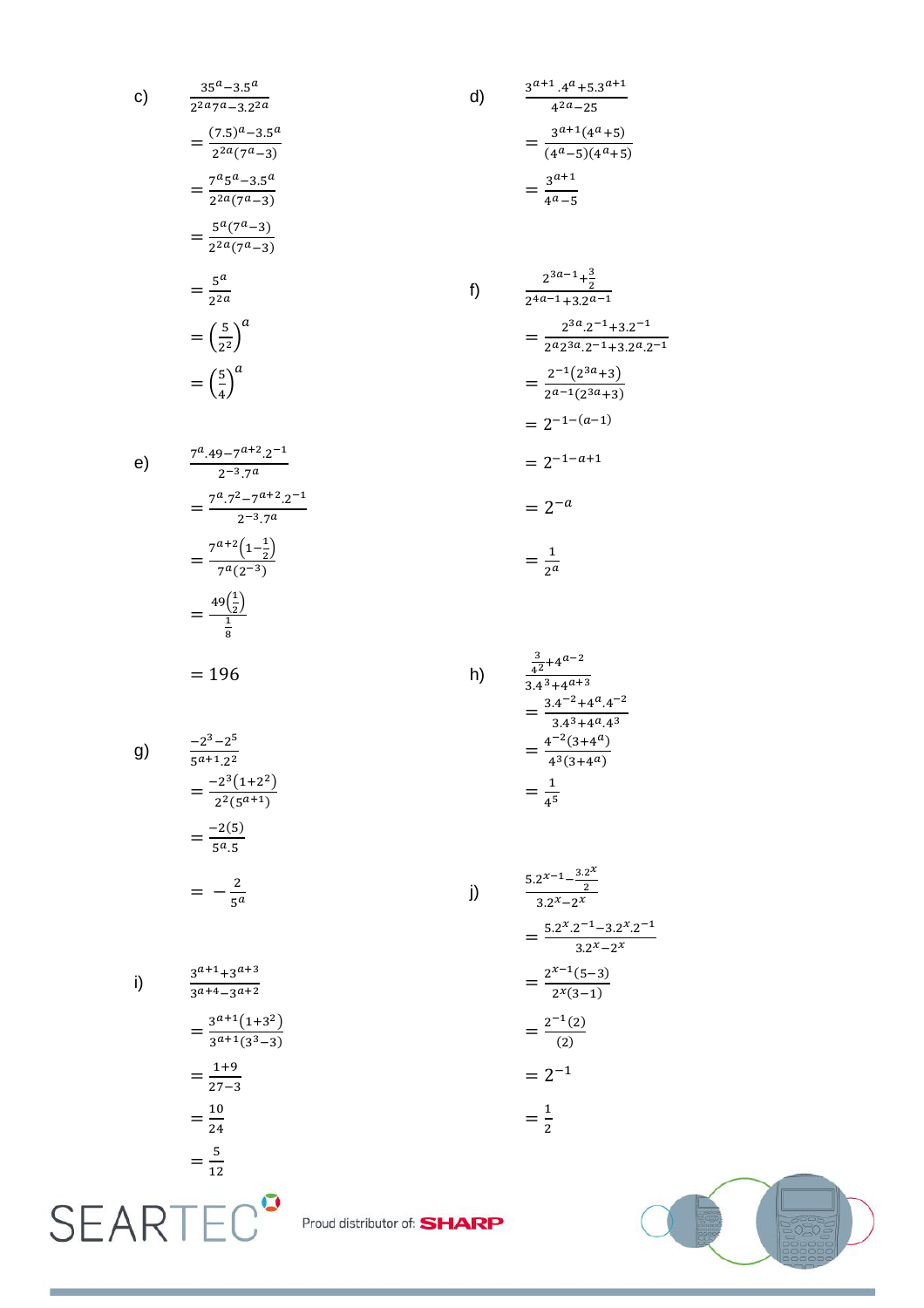$=\frac{5}{12}$  $SEARTEC<sup>3</sup>$  Proud distributor of: SHARP



$$
\frac{3^{a+1}+3^{a+3}}{3^{a+4}-3^{a+2}} = \frac{5 \cdot 3}{2}
$$
  
= 
$$
\frac{3^{a+1}(1+3^2)}{3^{a+1}(3^3-3)}
$$
  
= 
$$
\frac{1+9}{27-3}
$$
  
= 
$$
\frac{10}{24}
$$
  
= 
$$
\frac{1}{2}
$$
  
= 
$$
\frac{1}{2}
$$
  
= 
$$
\frac{1}{2}
$$
  
= 
$$
\frac{1}{2}
$$

i) 
$$
\frac{3^{a+1}+3^{a+3}}{3^{a+4}-3^{a+2}}
$$

$$
= -\frac{2}{5^a}
$$

$$
5^{a+1} \cdot 2^2
$$
  
= 
$$
\frac{-2^3(1+2^2)}{2^2(5^{a+1})}
$$
  
= 
$$
\frac{-2(5)}{5^a \cdot 5}
$$

$$
\frac{-2^3 - 2^5}{5^{a+1} \cdot 2^2}
$$
  
-2<sup>3</sup>(1+1)

$$
= 196
$$

$$
\frac{7^{a} \cdot 49 - 7^{a+2} \cdot 2^{-1}}{2^{-3} \cdot 7^{a}}
$$

$$
= \frac{7^{a} \cdot 7^{2} - 7^{a+2} \cdot 2^{-1}}{2^{-3} \cdot 7^{a}}
$$

$$
= \frac{7^{a+2} \left(1 - \frac{1}{2}\right)}{7^{a} \left(2^{-3}\right)}
$$

$$
= \frac{49 \left(\frac{1}{2}\right)}{\frac{1}{8}}
$$

 $e)$ 

 $g)$ 

$$
= \frac{(7.5)^{a}-3.5^{a}}{2^{2a}(7^{a}-3)}
$$

$$
= \frac{7^{a}5^{a}-3.5^{a}}{2^{2a}(7^{a}-3)}
$$

$$
= \frac{5^{a}(7^{a}-3)}{2^{2a}(7^{a}-3)}
$$

$$
= \frac{5^{a}}{2^{2a}}
$$

$$
= \left(\frac{5}{2^{2}}\right)^{a}
$$

$$
= \left(\frac{5}{4}\right)^{a}
$$

c) 
$$
\frac{35^a - 3.5^a}{2^{2a} 7^a - 3.2^{2a}}
$$

$$
\frac{5 \cdot 2^{x-1} - \frac{3 \cdot 2^x}{2}}{3 \cdot 2^{x-2^x}}
$$
  
= 
$$
\frac{5 \cdot 2^{x} \cdot 2^{-1} - 3 \cdot 2^{x} \cdot 2^{-1}}{3 \cdot 2^{x-2^x}}
$$
  
= 
$$
\frac{2^{x-1}(5-3)}{2^{x}(3-1)}
$$
  
= 
$$
\frac{2^{-1}(2)}{(2)}
$$
  
= 
$$
2^{-1}
$$

$$
\frac{\frac{3}{4^2} + 4^{a-2}}{3 \cdot 4^3 + 4^{a+3}}
$$
\n
$$
= \frac{3 \cdot 4^{-2} + 4^a \cdot 4^{-2}}{3 \cdot 4^3 + 4^a \cdot 4^3}
$$
\n
$$
= \frac{4^{-2}(3 + 4^a)}{4^3(3 + 4^a)}
$$
\n
$$
= \frac{1}{4^5}
$$

 $h)$ 

 $\mathsf{j})$ 

$$
= \frac{2^{3a} \cdot 2^{-1} + 3 \cdot 2^{-1}}{2^{a} 2^{3a} \cdot 2^{-1} + 3 \cdot 2^{a} \cdot 2^{-1}}
$$

$$
= \frac{2^{-1} (2^{3a} + 3)}{2^{a-1} (2^{3a} + 3)}
$$

$$
= 2^{-1 - (a-1)}
$$

$$
= 2^{-1 - a + 1}
$$

$$
= 2^{-a}
$$

$$
= \frac{1}{2^{a}}
$$

$$
=\frac{3^{a+1}}{(4^a-5)(4^a+5)}
$$

$$
=\frac{3^{a+1}}{4^a-5}
$$

f)  $\frac{2^{3a-1}+\frac{3}{2}}{2^{4a-1}+3 \cdot 2^{a-1}}$ 

$$
\frac{3^{a+1} \cdot 4^{a} + 5 \cdot 3^{a+1}}{4^{2a} - 25}
$$

$$
= \frac{3^{a+1} (4^a + 5)}{(4^a - 5)(4^a + 5)}
$$

d)